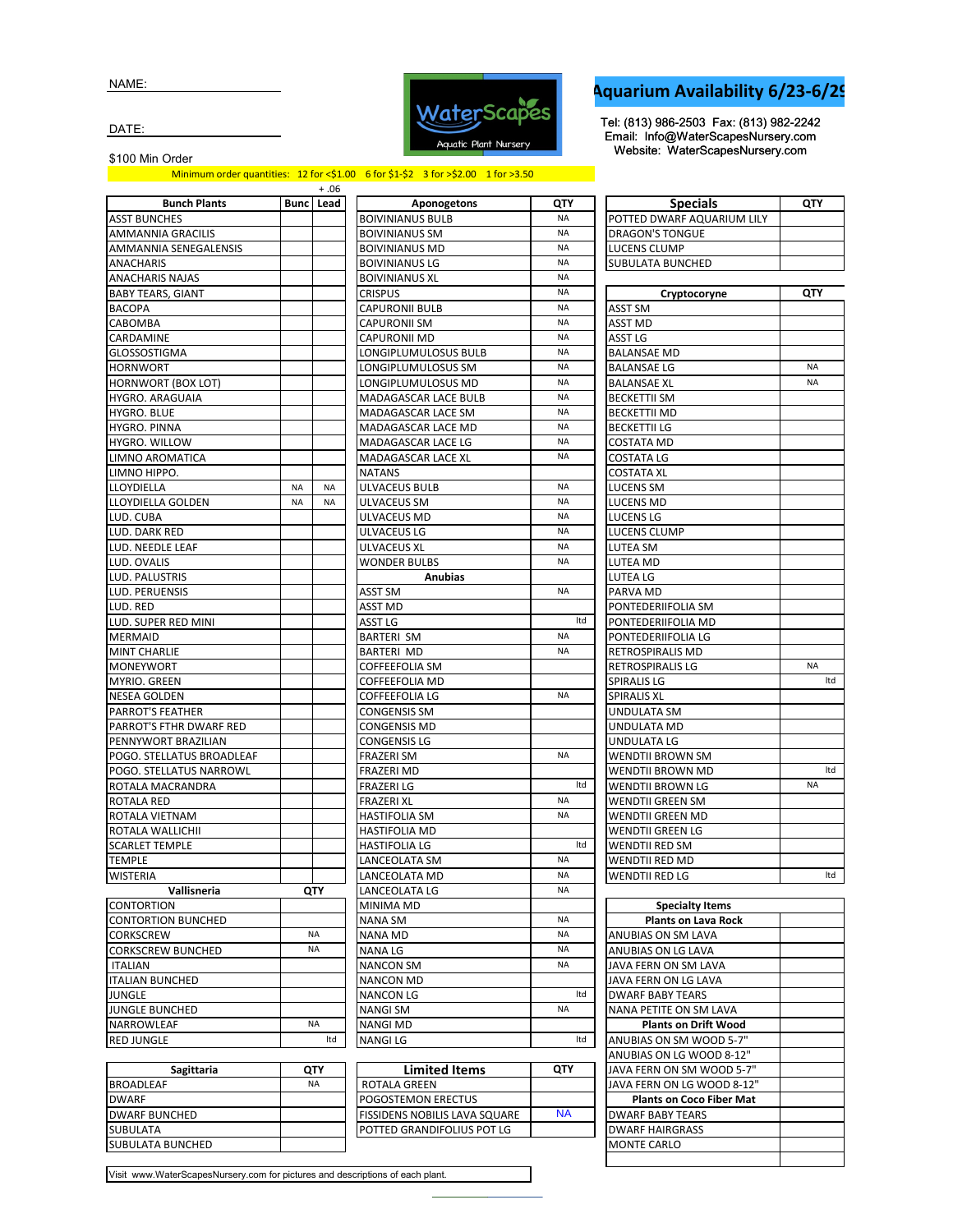NAME:



## **Aquarium Availability 6/23-6/29**

Tel: (813) 986-2503 Fax: (813) 982-2242 Email: Info@WaterScapesNursery.com Website: WaterScapesNursery.com

DATE:

\$100 Min Order

Minimum order quantities: 12 for <\$1.00 6 for \$1-\$2 3 for >\$2.00 1 for >3.50

|                           |           | $+.06$           |                       |
|---------------------------|-----------|------------------|-----------------------|
| <b>Bunch Plants</b>       |           | <b>Bunc</b> Lead | Apon                  |
| <b>ASST BUNCHES</b>       |           |                  | <b>BOIVINIANUS BL</b> |
| AMMANNIA GRACILIS         |           |                  | <b>BOIVINIANUS SN</b> |
| AMMANNIA SENEGALENSIS     |           |                  | <b>BOIVINIANUS M</b>  |
| <b>ANACHARIS</b>          |           |                  | <b>BOIVINIANUS LG</b> |
| ANACHARIS NAJAS           |           |                  | <b>BOIVINIANUS XL</b> |
| <b>BABY TEARS, GIANT</b>  |           |                  | <b>CRISPUS</b>        |
| BACOPA                    |           |                  | CAPURONII BULI        |
| CABOMBA                   |           |                  | CAPURONII SM          |
| CARDAMINE                 |           |                  | CAPURONII MD          |
| GLOSSOSTIGMA              |           |                  | LONGIPLUMULC          |
| <b>HORNWORT</b>           |           |                  | LONGIPLUMULC          |
| HORNWORT (BOX LOT)        |           |                  | LONGIPLUMULC          |
| HYGRO. ARAGUAIA           |           |                  | MADAGASCAR L          |
|                           |           |                  | MADAGASCAR L          |
| HYGRO. BLUE               |           |                  |                       |
| HYGRO. PINNA              |           |                  | MADAGASCAR L          |
| HYGRO. WILLOW             |           |                  | MADAGASCAR L          |
| LIMNO AROMATICA           |           |                  | MADAGASCAR L          |
| LIMNO HIPPO.              |           |                  | <b>NATANS</b>         |
| LLOYDIELLA                | <b>NA</b> | NA               | ULVACEUS BULB         |
| LLOYDIELLA GOLDEN         | <b>NA</b> | <b>NA</b>        | ULVACEUS SM           |
| LUD. CUBA                 |           |                  | ULVACEUS MD           |
| LUD. DARK RED             |           |                  | ULVACEUS LG           |
| LUD. NEEDLE LEAF          |           |                  | ULVACEUS XL           |
| LUD. OVALIS               |           |                  | <b>WONDER BULBS</b>   |
| LUD. PALUSTRIS            |           |                  | An                    |
| LUD. PERUENSIS            |           |                  | ASST SM               |
| LUD. RED                  |           |                  | ASST MD               |
| LUD. SUPER RED MINI       |           |                  | ASST LG               |
| <b>MERMAID</b>            |           |                  | <b>BARTERI SM</b>     |
| <b>MINT CHARLIE</b>       |           |                  | BARTERI MD            |
| MONEYWORT                 |           |                  | COFFEEFOLIA SN        |
| MYRIO. GREEN              |           |                  | COFFEEFOLIA M         |
| <b>NESEA GOLDEN</b>       |           |                  | <b>COFFEEFOLIA LG</b> |
| PARROT'S FEATHER          |           |                  | CONGENSIS SM          |
| PARROT'S FTHR DWARF RED   |           |                  | CONGENSIS MD          |
| PENNYWORT BRAZILIAN       |           |                  | CONGENSIS LG          |
| POGO. STELLATUS BROADLEAF |           |                  | <b>FRAZERI SM</b>     |
| POGO. STELLATUS NARROWL   |           |                  | FRAZERI MD            |
| ROTALA MACRANDRA          |           |                  | <b>FRAZERI LG</b>     |
| ROTALA RED                |           |                  | FRAZERI XL            |
| ROTALA VIETNAM            |           |                  | HASTIFOLIA SM         |
| ROTALA WALLICHII          |           |                  | HASTIFOLIA MD         |
| <b>SCARLET TEMPLE</b>     |           |                  | <b>HASTIFOLIA LG</b>  |
| <b>TEMPLE</b>             |           |                  | LANCEOLATA SN         |
| <b>WISTERIA</b>           |           |                  | LANCEOLATA MI         |
| Vallisneria               |           | QTY              | LANCEOLATA LG         |
| <b>CONTORTION</b>         |           |                  | MINIMA MD             |
| <b>CONTORTION BUNCHED</b> |           |                  | NANA SM               |
| CORKSCREW                 |           | <b>NA</b>        | NANA MD               |
| <b>CORKSCREW BUNCHED</b>  |           | NA               | NANA LG               |
| ITALIAN                   |           |                  | <b>NANCON SM</b>      |
| <b>ITALIAN BUNCHED</b>    |           |                  | NANCON MD             |
| JUNGLE                    |           |                  | <b>NANCON LG</b>      |
| <b>JUNGLE BUNCHED</b>     |           |                  | <b>NANGI SM</b>       |
| NARROWLEAF                |           | ΝA               | <b>NANGI MD</b>       |
| <b>RED JUNGLE</b>         |           | Itd              | <b>NANGILG</b>        |
|                           |           |                  |                       |
|                           |           |                  |                       |

|                                          |           | + .06     |                                    |                        |                                                        |
|------------------------------------------|-----------|-----------|------------------------------------|------------------------|--------------------------------------------------------|
| <b>Bunch Plants</b>                      |           | Bunc Lead | Aponogetons                        | QTY                    | <b>Specials</b>                                        |
| <b>ASST BUNCHES</b>                      |           |           | <b>BOIVINIANUS BULB</b>            | <b>NA</b>              | POTTED DWARF AQUARIUM LILY                             |
| AMMANNIA GRACILIS                        |           |           | <b>BOIVINIANUS SM</b>              | <b>NA</b>              | <b>DRAGON'S TONGUE</b>                                 |
| AMMANNIA SENEGALENSIS                    |           |           | <b>BOIVINIANUS MD</b>              | <b>NA</b>              | <b>LUCENS CLUMP</b>                                    |
| ANACHARIS                                |           |           | <b>BOIVINIANUS LG</b>              | <b>NA</b>              | <b>SUBULATA BUNCHED</b>                                |
| ANACHARIS NAJAS                          |           |           | <b>BOIVINIANUS XL</b>              | <b>NA</b>              |                                                        |
| BABY TEARS, GIANT                        |           |           | <b>CRISPUS</b>                     | <b>NA</b>              | Cryptocoryne                                           |
| BACOPA                                   |           |           | CAPURONII BULB                     | <b>NA</b>              | ASST SM                                                |
| CABOMBA                                  |           |           | <b>CAPURONII SM</b>                | <b>NA</b>              | ASST MD                                                |
| CARDAMINE                                |           |           | CAPURONII MD                       | <b>NA</b>              | ASST LG                                                |
| GLOSSOSTIGMA                             |           |           | LONGIPLUMULOSUS BULB               | <b>NA</b>              | <b>BALANSAE MD</b>                                     |
| <b>HORNWORT</b>                          |           |           | LONGIPLUMULOSUS SM                 | <b>NA</b>              | <b>BALANSAE LG</b>                                     |
| HORNWORT (BOX LOT)                       |           |           | LONGIPLUMULOSUS MD                 | <b>NA</b>              | <b>BALANSAE XL</b>                                     |
| HYGRO. ARAGUAIA                          |           |           | MADAGASCAR LACE BULB               | <b>NA</b>              | <b>BECKETTII SM</b>                                    |
| HYGRO. BLUE                              |           |           | MADAGASCAR LACE SM                 | <b>NA</b>              | <b>BECKETTII MD</b>                                    |
| HYGRO. PINNA                             |           |           | MADAGASCAR LACE MD                 | <b>NA</b>              | <b>BECKETTII LG</b>                                    |
| HYGRO. WILLOW                            |           |           | MADAGASCAR LACE LG                 | <b>NA</b>              | <b>COSTATA MD</b>                                      |
| LIMNO AROMATICA                          |           |           | MADAGASCAR LACE XL                 | <b>NA</b>              | <b>COSTATA LG</b>                                      |
| LIMNO HIPPO.                             |           |           | <b>NATANS</b>                      |                        | <b>COSTATA XL</b>                                      |
| LLOYDIELLA                               | NA        | ΝA        | ULVACEUS BULB                      | <b>NA</b>              | LUCENS SM                                              |
| LLOYDIELLA GOLDEN                        | <b>NA</b> | <b>NA</b> | ULVACEUS SM                        | <b>NA</b>              | <b>LUCENS MD</b>                                       |
| LUD. CUBA                                |           |           | <b>ULVACEUS MD</b>                 | <b>NA</b>              | LUCENS LG                                              |
| LUD. DARK RED                            |           |           | ULVACEUS LG                        | <b>NA</b>              | LUCENS CLUMP                                           |
| LUD. NEEDLE LEAF                         |           |           | <b>ULVACEUS XL</b>                 | <b>NA</b>              | LUTEA SM                                               |
| LUD. OVALIS                              |           |           | <b>WONDER BULBS</b>                | <b>NA</b>              | LUTEA MD                                               |
| LUD. PALUSTRIS                           |           |           | <b>Anubias</b>                     |                        | LUTEA LG                                               |
| LUD. PERUENSIS                           |           |           | ASST SM                            | <b>NA</b>              | PARVA MD                                               |
| LUD. RED                                 |           |           | ASST MD                            |                        | PONTEDERIIFOLIA SM                                     |
| LUD. SUPER RED MINI                      |           |           | ASST LG                            | Itd                    | PONTEDERIIFOLIA MD                                     |
| MERMAID                                  |           |           | BARTERI SM                         | <b>NA</b>              | PONTEDERIIFOLIA LG                                     |
| MINT CHARLIE                             |           |           | <b>BARTERI MD</b>                  | <b>NA</b>              | RETROSPIRALIS MD                                       |
| MONEYWORT                                |           |           | <b>COFFEEFOLIA SM</b>              |                        | <b>RETROSPIRALIS LG</b>                                |
| MYRIO. GREEN                             |           |           | COFFEEFOLIA MD                     |                        | <b>SPIRALIS LG</b>                                     |
| NESEA GOLDEN                             |           |           | <b>COFFEEFOLIA LG</b>              | <b>NA</b>              | <b>SPIRALIS XL</b>                                     |
| PARROT'S FEATHER                         |           |           | CONGENSIS SM                       |                        | UNDULATA SM                                            |
| PARROT'S FTHR DWARF RED                  |           |           | <b>CONGENSIS MD</b>                |                        | UNDULATA MD                                            |
| PENNYWORT BRAZILIAN                      |           |           | CONGENSIS LG                       |                        | UNDULATA LG                                            |
| POGO. STELLATUS BROADLEAF                |           |           | <b>FRAZERI SM</b>                  | <b>NA</b>              | WENDTII BROWN SM                                       |
| POGO. STELLATUS NARROWL                  |           |           | FRAZERI MD                         |                        | WENDTII BROWN MD                                       |
| ROTALA MACRANDRA                         |           |           | FRAZERI LG                         | ltd                    | WENDTII BROWN LG                                       |
| ROTALA RED                               |           |           | <b>FRAZERI XL</b>                  | NA                     | WENDTII GREEN SM                                       |
| ROTALA VIETNAM                           |           |           | <b>HASTIFOLIA SM</b>               | <b>NA</b>              | WENDTII GREEN MD                                       |
| ROTALA WALLICHII                         |           |           | HASTIFOLIA MD                      |                        | WENDTII GREEN LG                                       |
| <b>SCARLET TEMPLE</b>                    |           |           | HASTIFOLIA LG                      | Itd                    | WENDTII RED SM                                         |
| TEMPLE                                   |           |           | LANCEOLATA SM                      | <b>NA</b>              | WENDTII RED MD                                         |
| WISTERIA                                 |           |           | <b>LANCEOLATA MD</b>               | <b>NA</b>              | <b>WENDTII RED LG</b>                                  |
| Vallisneria                              |           | QTY       | LANCEOLATA LG                      | <b>NA</b>              |                                                        |
| CONTORTION                               |           |           | MINIMA MD                          | <b>NA</b>              | <b>Specialty Items</b>                                 |
| CONTORTION BUNCHED                       |           |           | NANA SM                            |                        | <b>Plants on Lava Rock</b>                             |
| CORKSCREW                                |           | <b>NA</b> | NANA MD                            | <b>NA</b><br><b>NA</b> | ANUBIAS ON SM LAVA                                     |
| CORKSCREW BUNCHED                        |           | NA        | NANA LG                            | <b>NA</b>              | ANUBIAS ON LG LAVA                                     |
| <b>ITALIAN</b><br><b>ITALIAN BUNCHED</b> |           |           | <b>NANCON SM</b>                   |                        | JAVA FERN ON SM LAVA                                   |
|                                          |           |           | NANCON MD                          | Itd                    | JAVA FERN ON LG LAVA                                   |
| JUNGLE                                   |           |           | <b>NANCON LG</b>                   | <b>NA</b>              | <b>DWARF BABY TEARS</b>                                |
| JUNGLE BUNCHED<br>NARROWLEAF             |           | <b>NA</b> | <b>NANGI SM</b><br><b>NANGI MD</b> |                        | NANA PETITE ON SM LAVA                                 |
| RED JUNGLE                               |           | Itd       | NANGI LG                           | Itd                    | <b>Plants on Drift Wood</b><br>ANUBIAS ON SM WOOD 5-7" |
|                                          |           |           |                                    |                        | ANUBIAS ON LG WOOD 8-12"                               |
| Sagittaria                               |           | QTY       | <b>Limited Items</b>               | QTY                    | JAVA FERN ON SM WOOD 5-7"                              |
|                                          |           |           |                                    |                        |                                                        |

POTTED GRANDIFOLIUS POT LG

NA

| QTY       | <b>Specials</b>            | QTY       |
|-----------|----------------------------|-----------|
| <b>NA</b> | POTTED DWARF AQUARIUM LILY |           |
| <b>NA</b> | <b>DRAGON'S TONGUE</b>     |           |
| <b>NA</b> | LUCENS CLUMP               |           |
| <b>NA</b> | SUBULATA BUNCHED           |           |
| <b>NA</b> |                            |           |
| <b>NA</b> | Cryptocoryne               | QTY       |
| <b>NA</b> | ASST SM                    |           |
| <b>NA</b> | ASST MD                    |           |
| <b>NA</b> | ASST LG                    |           |
| <b>NA</b> | <b>BALANSAE MD</b>         |           |
| <b>NA</b> | BALANSAE LG                | <b>NA</b> |
| <b>NA</b> | <b>BALANSAE XL</b>         | <b>NA</b> |
| <b>NA</b> | <b>BECKETTII SM</b>        |           |
| <b>NA</b> | <b>BECKETTII MD</b>        |           |
| <b>NA</b> | <b>BECKETTII LG</b>        |           |
| <b>NA</b> | COSTATA MD                 |           |
| <b>NA</b> | <b>COSTATA LG</b>          |           |
|           | <b>COSTATA XL</b>          |           |
| <b>NA</b> | LUCENS SM                  |           |
| <b>NA</b> | LUCENS MD                  |           |
| <b>NA</b> | LUCENS LG                  |           |
| <b>NA</b> | LUCENS CLUMP               |           |
| <b>NA</b> | LUTEA SM                   |           |
| <b>NA</b> | LUTEA MD                   |           |
|           | LUTEA LG                   |           |
| <b>NA</b> | PARVA MD                   |           |
|           | PONTEDERIIFOLIA SM         |           |
| Itd       | PONTEDERIIFOLIA MD         |           |
| <b>NA</b> | PONTEDERIIFOLIA LG         |           |
| <b>NA</b> | RETROSPIRALIS MD           |           |
|           | <b>RETROSPIRALIS LG</b>    | <b>NA</b> |
|           | SPIRALIS LG                | Itd       |
| <b>NA</b> | <b>SPIRALIS XL</b>         |           |
|           | UNDULATA SM                |           |
|           | UNDULATA MD                |           |
|           | UNDULATA LG                |           |
| <b>NA</b> | WENDTII BROWN SM           |           |
|           | WENDTII BROWN MD           | Itd       |
| Itd       | WENDTII BROWN LG           | <b>NA</b> |
| <b>NA</b> | WENDTII GREEN SM           |           |
| <b>NA</b> | WENDTII GREEN MD           |           |
|           | <b>WENDTII GREEN LG</b>    |           |
| Itd       | <b>WENDTII RED SM</b>      |           |
| <b>NA</b> | WENDTII RED MD             |           |
| <b>NA</b> | WENDTII RED LG             | Itd       |
| <b>NA</b> |                            |           |
|           | Snecialty Items            |           |

| <b>Specialty Items</b>          |  |
|---------------------------------|--|
| <b>Plants on Lava Rock</b>      |  |
| ANUBIAS ON SM LAVA              |  |
| ANUBIAS ON LG LAVA              |  |
| JAVA FERN ON SM LAVA            |  |
| JAVA FERN ON LG LAVA            |  |
| <b>DWARF BABY TEARS</b>         |  |
| <b>NANA PETITE ON SM LAVA</b>   |  |
| <b>Plants on Drift Wood</b>     |  |
| ANUBIAS ON SM WOOD 5-7"         |  |
| ANUBIAS ON LG WOOD 8-12"        |  |
| JAVA FERN ON SM WOOD 5-7"       |  |
| JAVA FERN ON LG WOOD 8-12"      |  |
| <b>Plants on Coco Fiber Mat</b> |  |
| <b>DWARF BABY TEARS</b>         |  |
| <b>DWARF HAIRGRASS</b>          |  |
| <b>MONTE CARLO</b>              |  |
|                                 |  |

Visit www.WaterScapesNursery.com for pictures and descriptions of each plant.

BROADLEAF NA ROTALA GREEN

SUBULATA BUNCHED

DWARF **DWARF BUNCHED POGOSTEMON ERECTUS** DWARF BUNCHED FISSIDENS NOBILIS LAVA SQUARE SUBULATA

NA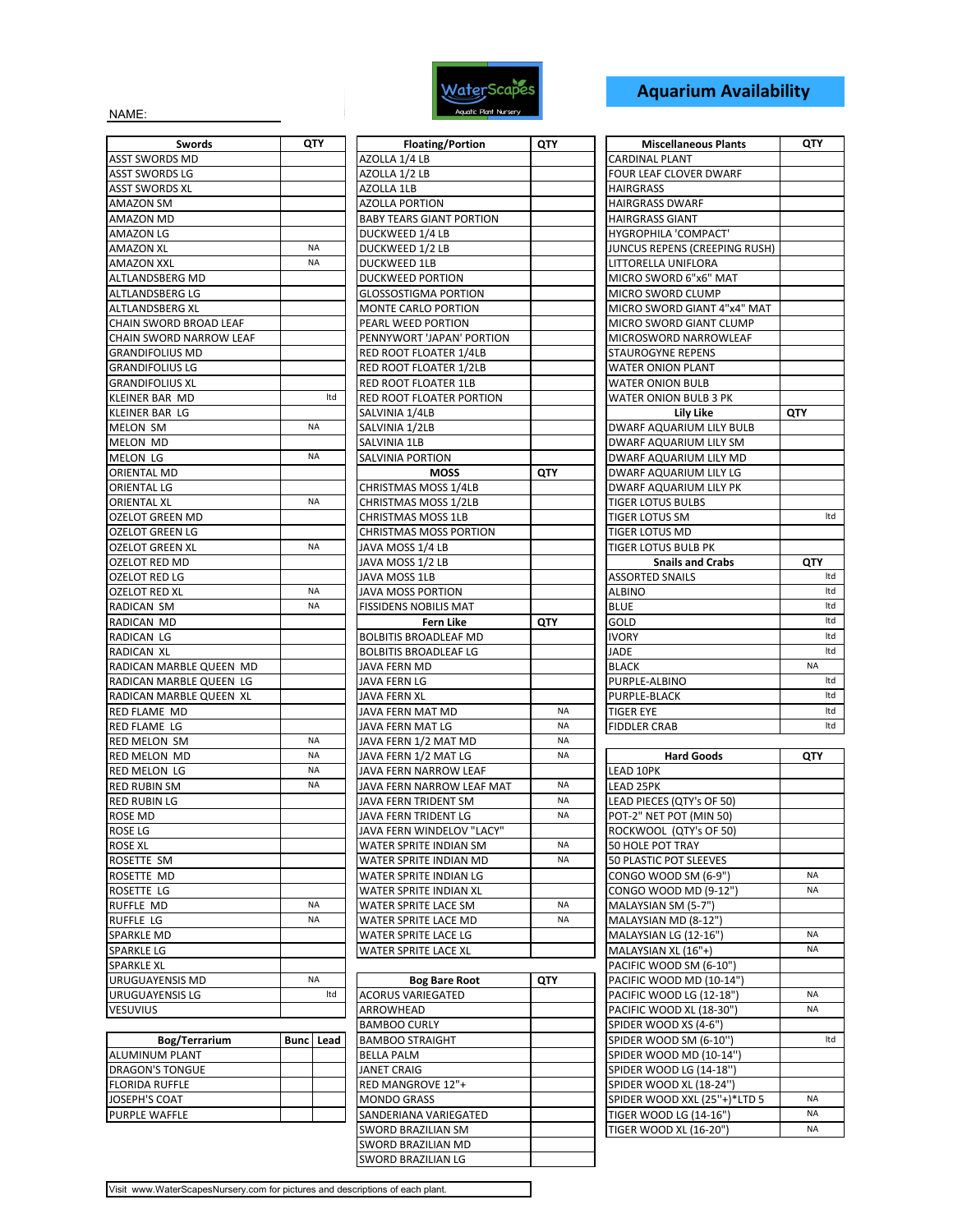

## **Aquarium Availability**

NAME:

| Swords                  | QTY              | <b>Floating/Portion</b>                        |
|-------------------------|------------------|------------------------------------------------|
| <b>ASST SWORDS MD</b>   |                  | AZOLLA 1/4 LB                                  |
| <b>ASST SWORDS LG</b>   |                  | AZOLLA 1/2 LB                                  |
| <b>ASST SWORDS XL</b>   |                  | AZOLLA 1LB                                     |
| AMAZON SM               |                  | <b>AZOLLA PORTION</b>                          |
| AMAZON MD               |                  | <b>BABY TEARS GIANT POR</b>                    |
| AMAZON LG               |                  | DUCKWEED 1/4 LB                                |
| AMAZON XL               | <b>NA</b>        | DUCKWEED 1/2 LB                                |
| AMAZON XXL              | <b>NA</b>        | <b>DUCKWEED 1LB</b>                            |
| ALTLANDSBERG MD         |                  | <b>DUCKWEED PORTION</b>                        |
| ALTLANDSBERG LG         |                  | GLOSSOSTIGMA PORTIC                            |
| ALTLANDSBERG XL         |                  | <b>MONTE CARLO PORTION</b>                     |
| CHAIN SWORD BROAD LEAF  |                  | PEARL WEED PORTION                             |
| CHAIN SWORD NARROW LEAF |                  | PENNYWORT 'JAPAN' PO                           |
| <b>GRANDIFOLIUS MD</b>  |                  | RED ROOT FLOATER 1/4                           |
| GRANDIFOLIUS LG         |                  | RED ROOT FLOATER 1/2                           |
| <b>GRANDIFOLIUS XL</b>  |                  | RED ROOT FLOATER 1LB                           |
| KLEINER BAR MD          | Itd              | RED ROOT FLOATER POF                           |
| KLEINER BAR LG          |                  | SALVINIA 1/4LB                                 |
| <b>MELON SM</b>         | <b>NA</b>        | SALVINIA 1/2LB                                 |
| MELON MD                |                  | SALVINIA 1LB                                   |
| <b>MELON LG</b>         | <b>NA</b>        | SALVINIA PORTION                               |
| <b>ORIENTAL MD</b>      |                  | <b>MOSS</b>                                    |
| ORIENTAL LG             |                  | CHRISTMAS MOSS 1/4LE                           |
| ORIENTAL XL             | ΝA               | CHRISTMAS MOSS 1/2LE                           |
| OZELOT GREEN MD         |                  | CHRISTMAS MOSS 1LB                             |
| OZELOT GREEN LG         |                  | <b>CHRISTMAS MOSS PORT</b>                     |
| <b>OZELOT GREEN XL</b>  | <b>NA</b>        | JAVA MOSS 1/4 LB                               |
| OZELOT RED MD           |                  | JAVA MOSS 1/2 LB                               |
| OZELOT RED LG           |                  | JAVA MOSS 1LB                                  |
| OZELOT RED XL           | NA               | JAVA MOSS PORTION                              |
| RADICAN SM              | <b>NA</b>        | <b>FISSIDENS NOBILIS MAT</b>                   |
| RADICAN MD              |                  | Fern Like                                      |
| RADICAN LG              |                  | <b>BOLBITIS BROADLEAF M</b>                    |
| RADICAN XL              |                  | <b>BOLBITIS BROADLEAF LG</b>                   |
| RADICAN MARBLE QUEEN MD |                  | JAVA FERN MD                                   |
| RADICAN MARBLE QUEEN LG |                  | JAVA FERN LG                                   |
| RADICAN MARBLE QUEEN XL |                  | <b>JAVA FERN XL</b>                            |
| RED FLAME MD            |                  | JAVA FERN MAT MD                               |
| RED FLAME LG            |                  | JAVA FERN MAT LG                               |
| RED MELON SM            | <b>NA</b>        | JAVA FERN 1/2 MAT MD                           |
| RED MELON MD            | <b>NA</b>        | JAVA FERN 1/2 MAT LG                           |
| <b>RED MELON LG</b>     | <b>NA</b>        | JAVA FERN NARROW LE.                           |
| <b>RED RUBIN SM</b>     | <b>NA</b>        | JAVA FERN NARROW LE.                           |
| <b>RED RUBIN LG</b>     |                  | JAVA FERN TRIDENT SM                           |
| ROSE MD                 |                  | JAVA FERN TRIDENT LG                           |
| ROSE LG                 |                  | <b>JAVA FERN WINDELOV "</b>                    |
|                         |                  |                                                |
| ROSE XL<br>ROSETTE SM   |                  | WATER SPRITE INDIAN S<br>WATER SPRITE INDIAN N |
|                         |                  |                                                |
| ROSETTE MD              |                  | WATER SPRITE INDIAN L                          |
| ROSETTE LG              | <b>NA</b>        | WATER SPRITE INDIAN X                          |
| RUFFLE MD               | <b>NA</b>        | WATER SPRITE LACE SM                           |
| RUFFLE LG               |                  | WATER SPRITE LACE MD                           |
| SPARKLE MD              |                  | WATER SPRITE LACE LG                           |
| <b>SPARKLE LG</b>       |                  | WATER SPRITE LACE XL                           |
| SPARKLE XL              | <b>NA</b>        |                                                |
| URUGUAYENSIS MD         |                  | <b>Bog Bare Roo</b>                            |
| <b>URUGUAYENSIS LG</b>  | Itd              | <b>ACORUS VARIEGATED</b>                       |
| <b>VESUVIUS</b>         |                  | ARROWHEAD                                      |
|                         |                  | <b>BAMBOO CURLY</b>                            |
| Bog/Terrarium           | <b>Bunc</b> Lead | <b>BAMBOO STRAIGHT</b>                         |

| Bog/Terrarium          | <b>Bunc</b> Lead |  |
|------------------------|------------------|--|
| <b>ALUMINUM PLANT</b>  |                  |  |
| <b>DRAGON'S TONGUE</b> |                  |  |
| <b>FLORIDA RUFFLE</b>  |                  |  |
| JOSEPH'S COAT          |                  |  |
| <b>PURPLE WAFFLE</b>   |                  |  |

| Swords                                             | QTY              | <b>Floating/Portion</b>          | QTY       | <b>Miscellaneous Plants</b>   |     |
|----------------------------------------------------|------------------|----------------------------------|-----------|-------------------------------|-----|
| ASST SWORDS MD                                     |                  | AZOLLA 1/4 LB                    |           | <b>CARDINAL PLANT</b>         |     |
| ASST SWORDS LG                                     |                  | AZOLLA 1/2 LB                    |           | FOUR LEAF CLOVER DWARF        |     |
| ASST SWORDS XL                                     |                  | AZOLLA 1LB                       |           | <b>HAIRGRASS</b>              |     |
| AMAZON SM                                          |                  | <b>AZOLLA PORTION</b>            |           | <b>HAIRGRASS DWARF</b>        |     |
| AMAZON MD                                          |                  | <b>BABY TEARS GIANT PORTION</b>  |           | <b>HAIRGRASS GIANT</b>        |     |
| AMAZON LG                                          |                  | DUCKWEED 1/4 LB                  |           | HYGROPHILA 'COMPACT'          |     |
| AMAZON XL                                          | <b>NA</b>        | DUCKWEED 1/2 LB                  |           | JUNCUS REPENS (CREEPING RUSH) |     |
| AMAZON XXL                                         | <b>NA</b>        | DUCKWEED 1LB                     |           | LITTORELLA UNIFLORA           |     |
| ALTLANDSBERG MD                                    |                  | <b>DUCKWEED PORTION</b>          |           | MICRO SWORD 6"x6" MAT         |     |
| ALTLANDSBERG LG                                    |                  | <b>GLOSSOSTIGMA PORTION</b>      |           | MICRO SWORD CLUMP             |     |
| ALTLANDSBERG XL                                    |                  | <b>MONTE CARLO PORTION</b>       |           | MICRO SWORD GIANT 4"x4" MAT   |     |
| CHAIN SWORD BROAD LEAF                             |                  | PEARL WEED PORTION               |           | MICRO SWORD GIANT CLUMP       |     |
| CHAIN SWORD NARROW LEAF                            |                  | PENNYWORT 'JAPAN' PORTION        |           | MICROSWORD NARROWLEAF         |     |
| GRANDIFOLIUS MD                                    |                  | RED ROOT FLOATER 1/4LB           |           | <b>STAUROGYNE REPENS</b>      |     |
| <b>GRANDIFOLIUS LG</b>                             |                  | <b>RED ROOT FLOATER 1/2LB</b>    |           | <b>WATER ONION PLANT</b>      |     |
| GRANDIFOLIUS XL                                    |                  | RED ROOT FLOATER 1LB             |           | WATER ONION BULB              |     |
| KLEINER BAR MD                                     | Itd              | RED ROOT FLOATER PORTION         |           | WATER ONION BULB 3 PK         |     |
| KLEINER BAR LG                                     |                  | SALVINIA 1/4LB                   |           | Lily Like                     | QTY |
| MELON SM                                           | <b>NA</b>        | SALVINIA 1/2LB                   |           | DWARF AQUARIUM LILY BULB      |     |
| MELON MD                                           |                  | SALVINIA 1LB                     |           | DWARF AQUARIUM LILY SM        |     |
| MELON LG                                           | <b>NA</b>        | SALVINIA PORTION                 |           | DWARF AQUARIUM LILY MD        |     |
| ORIENTAL MD                                        |                  | <b>MOSS</b>                      | QTY       | DWARF AQUARIUM LILY LG        |     |
| ORIENTAL LG                                        |                  | CHRISTMAS MOSS 1/4LB             |           | DWARF AQUARIUM LILY PK        |     |
| ORIENTAL XL                                        | <b>NA</b>        | CHRISTMAS MOSS 1/2LB             |           | <b>TIGER LOTUS BULBS</b>      |     |
| OZELOT GREEN MD                                    |                  | <b>CHRISTMAS MOSS 1LB</b>        |           | TIGER LOTUS SM                |     |
| OZELOT GREEN LG                                    |                  | <b>CHRISTMAS MOSS PORTION</b>    |           | TIGER LOTUS MD                |     |
| OZELOT GREEN XL                                    | NA               | JAVA MOSS 1/4 LB                 |           | <b>TIGER LOTUS BULB PK</b>    |     |
| OZELOT RED MD                                      |                  | JAVA MOSS 1/2 LB                 |           | <b>Snails and Crabs</b>       |     |
| OZELOT RED LG                                      | <b>NA</b>        | JAVA MOSS 1LB                    |           | <b>ASSORTED SNAILS</b>        |     |
| OZELOT RED XL                                      | <b>NA</b>        | JAVA MOSS PORTION                |           | ALBINO                        |     |
| RADICAN SM                                         |                  | <b>FISSIDENS NOBILIS MAT</b>     |           | <b>BLUE</b>                   |     |
| RADICAN MD                                         |                  | Fern Like                        | QTY       | GOLD                          |     |
| RADICAN LG                                         |                  | <b>BOLBITIS BROADLEAF MD</b>     |           | <b>IVORY</b>                  |     |
| RADICAN XL                                         |                  | <b>BOLBITIS BROADLEAF LG</b>     |           | JADE                          |     |
| RADICAN MARBLE QUEEN MD<br>RADICAN MARBLE QUEEN LG |                  | JAVA FERN MD<br>JAVA FERN LG     |           | <b>BLACK</b><br>PURPLE-ALBINO |     |
| RADICAN MARBLE QUEEN XL                            |                  |                                  |           | PURPLE-BLACK                  |     |
| RED FLAME MD                                       |                  | JAVA FERN XL<br>JAVA FERN MAT MD | NA        | <b>TIGER EYE</b>              |     |
| RED FLAME LG                                       |                  | JAVA FERN MAT LG                 | <b>NA</b> | <b>FIDDLER CRAB</b>           |     |
| RED MELON SM                                       | <b>NA</b>        | JAVA FERN 1/2 MAT MD             | <b>NA</b> |                               |     |
| RED MELON MD                                       | <b>NA</b>        | JAVA FERN 1/2 MAT LG             | <b>NA</b> | <b>Hard Goods</b>             |     |
| red melon lg                                       | <b>NA</b>        | JAVA FERN NARROW LEAF            |           | LEAD 10PK                     |     |
| RED RUBIN SM                                       | NA               | JAVA FERN NARROW LEAF MAT        | NA        | LEAD 25PK                     |     |
| RED RUBIN LG                                       |                  | JAVA FERN TRIDENT SM             | <b>NA</b> | LEAD PIECES (QTY's OF 50)     |     |
| ROSE MD                                            |                  | JAVA FERN TRIDENT LG             | <b>NA</b> | POT-2" NET POT (MIN 50)       |     |
| ROSE LG                                            |                  | JAVA FERN WINDELOV "LACY"        |           | ROCKWOOL (QTY's OF 50)        |     |
| ROSE XL                                            |                  | WATER SPRITE INDIAN SM           | NA        | 50 HOLE POT TRAY              |     |
| ROSETTE SM                                         |                  | WATER SPRITE INDIAN MD           | NA        | 50 PLASTIC POT SLEEVES        |     |
| ROSETTE MD                                         |                  | WATER SPRITE INDIAN LG           |           | CONGO WOOD SM (6-9")          |     |
| ROSETTE LG                                         |                  | WATER SPRITE INDIAN XL           |           | CONGO WOOD MD (9-12")         |     |
| RUFFLE MD                                          | <b>NA</b>        | WATER SPRITE LACE SM             | NA        | MALAYSIAN SM (5-7")           |     |
| RUFFLE LG                                          | NA               | WATER SPRITE LACE MD             | NA        | MALAYSIAN MD (8-12")          |     |
| SPARKLE MD                                         |                  | WATER SPRITE LACE LG             |           | MALAYSIAN LG (12-16")         |     |
| SPARKLE LG                                         |                  | WATER SPRITE LACE XL             |           | MALAYSIAN XL (16"+)           |     |
| SPARKLE XL                                         |                  |                                  |           | PACIFIC WOOD SM (6-10")       |     |
| URUGUAYENSIS MD                                    | <b>NA</b>        | <b>Bog Bare Root</b>             | QTY       | PACIFIC WOOD MD (10-14")      |     |
| URUGUAYENSIS LG                                    | Itd              | <b>ACORUS VARIEGATED</b>         |           | PACIFIC WOOD LG (12-18")      |     |
| VESUVIUS                                           |                  | ARROWHEAD                        |           | PACIFIC WOOD XL (18-30")      |     |
|                                                    |                  | <b>BAMBOO CURLY</b>              |           | SPIDER WOOD XS (4-6")         |     |
| Bog/Terrarium                                      | <b>Bunc</b> Lead | <b>BAMBOO STRAIGHT</b>           |           | SPIDER WOOD SM (6-10")        |     |
| ALUMINUM PLANT                                     |                  | BELLA PALM                       |           | SPIDER WOOD MD (10-14")       |     |
| DRAGON'S TONGUE                                    |                  | JANET CRAIG                      |           | SPIDER WOOD LG (14-18")       |     |
| FLORIDA RUFFLE                                     |                  | RED MANGROVE 12"+                |           | SPIDER WOOD XL (18-24")       |     |
| JOSEPH'S COAT                                      |                  | <b>MONDO GRASS</b>               |           | SPIDER WOOD XXL (25"+)*LTD 5  |     |
| PURPLE WAFFLE                                      |                  | SANDERIANA VARIEGATED            |           | TIGER WOOD LG (14-16")        |     |
|                                                    |                  |                                  |           |                               |     |

| <b>Miscellaneous Plants</b>     | QTY       |
|---------------------------------|-----------|
| <b>CARDINAL PLANT</b>           |           |
| FOUR LEAF CLOVER DWARF          |           |
| <b>HAIRGRASS</b>                |           |
| <b>HAIRGRASS DWARF</b>          |           |
| <b>HAIRGRASS GIANT</b>          |           |
| HYGROPHILA 'COMPACT'            |           |
| JUNCUS REPENS (CREEPING RUSH)   |           |
| LITTORELLA UNIFLORA             |           |
| MICRO SWORD 6"x6" MAT           |           |
| MICRO SWORD CLUMP               |           |
| MICRO SWORD GIANT 4"x4" MAT     |           |
| MICRO SWORD GIANT CLUMP         |           |
| MICROSWORD NARROWLEAF           |           |
| <b>STAUROGYNE REPENS</b>        |           |
| <b>WATER ONION PLANT</b>        |           |
| <b>WATER ONION BULB</b>         |           |
| <b>WATER ONION BULB 3 PK</b>    |           |
| Lily Like                       | QTY       |
| <b>DWARF AQUARIUM LILY BULB</b> |           |
| DWARF AQUARIUM LILY SM          |           |
| DWARF AQUARIUM LILY MD          |           |
| DWARF AQUARIUM LILY LG          |           |
| <b>DWARF AQUARIUM LILY PK</b>   |           |
| <b>TIGER LOTUS BULBS</b>        |           |
| <b>TIGER LOTUS SM</b>           | ltd       |
| <b>TIGER LOTUS MD</b>           |           |
| <b>TIGER LOTUS BULB PK</b>      |           |
| <b>Snails and Crabs</b>         | QTY       |
| <b>ASSORTED SNAILS</b>          | Itd       |
| <b>ALBINO</b>                   | ltd       |
| <b>BLUE</b>                     | Itd       |
| GOLD                            | ltd       |
| <b>IVORY</b>                    | htl       |
| JADE                            | Itd       |
| <b>BLACK</b>                    | <b>NA</b> |
| PURPLE-ALBINO                   | Itd       |
| <b>PURPLE-BLACK</b>             | ltd       |
| <b>TIGER EYE</b>                | ltd       |
| <b>FIDDLER CRAB</b>             | Itd       |
|                                 |           |

| JAVA FERN 1/2 MAT LG          | <b>NA</b>  | <b>Hard Goods</b>             | <b>QTY</b> |
|-------------------------------|------------|-------------------------------|------------|
| JAVA FERN NARROW LEAF         |            | <b>LEAD 10PK</b>              |            |
| JAVA FERN NARROW LEAF MAT     | <b>NA</b>  | <b>LEAD 25PK</b>              |            |
| JAVA FERN TRIDENT SM          | <b>NA</b>  | LEAD PIECES (QTY's OF 50)     |            |
| JAVA FERN TRIDENT LG          | <b>NA</b>  | POT-2" NET POT (MIN 50)       |            |
| JAVA FERN WINDELOV "LACY"     |            | ROCKWOOL (QTY's OF 50)        |            |
| WATER SPRITE INDIAN SM        | <b>NA</b>  | <b>50 HOLE POT TRAY</b>       |            |
| WATER SPRITE INDIAN MD        | <b>NA</b>  | <b>50 PLASTIC POT SLEEVES</b> |            |
| WATER SPRITE INDIAN LG        |            | CONGO WOOD SM (6-9")          | <b>NA</b>  |
| <b>WATER SPRITE INDIAN XL</b> |            | CONGO WOOD MD (9-12")         | <b>NA</b>  |
| <b>WATER SPRITE LACE SM</b>   | <b>NA</b>  | MALAYSIAN SM (5-7")           |            |
| <b>WATER SPRITE LACE MD</b>   | <b>NA</b>  | MALAYSIAN MD (8-12")          |            |
| WATER SPRITE LACE LG          |            | MALAYSIAN LG (12-16")         | NA         |
| <b>WATER SPRITE LACE XL</b>   |            | MALAYSIAN XL (16"+)           | NA         |
|                               |            | PACIFIC WOOD SM (6-10")       |            |
| <b>Bog Bare Root</b>          | <b>QTY</b> | PACIFIC WOOD MD (10-14")      |            |
| <b>ACORUS VARIEGATED</b>      |            | PACIFIC WOOD LG (12-18")      | <b>NA</b>  |
| ARROWHEAD                     |            | PACIFIC WOOD XL (18-30")      | <b>NA</b>  |
| <b>BAMBOO CURLY</b>           |            | SPIDER WOOD XS (4-6")         |            |
| <b>BAMBOO STRAIGHT</b>        |            | SPIDER WOOD SM (6-10")        | Itd        |
| <b>BELLA PALM</b>             |            | SPIDER WOOD MD (10-14")       |            |
| <b>JANET CRAIG</b>            |            | SPIDER WOOD LG (14-18")       |            |
| RED MANGROVE 12"+             |            | SPIDER WOOD XL (18-24")       |            |
| <b>MONDO GRASS</b>            |            | SPIDER WOOD XXL (25"+)*LTD 5  | <b>NA</b>  |
| SANDERIANA VARIEGATED         |            | TIGER WOOD LG (14-16")        | <b>NA</b>  |
| <b>SWORD BRAZILIAN SM</b>     |            | TIGER WOOD XL (16-20")        | <b>NA</b>  |
|                               |            |                               |            |

Visit www.WaterScapesNursery.com for pictures and descriptions of each plant.

SWORD BRAZILIAN MD SWORD BRAZILIAN LG